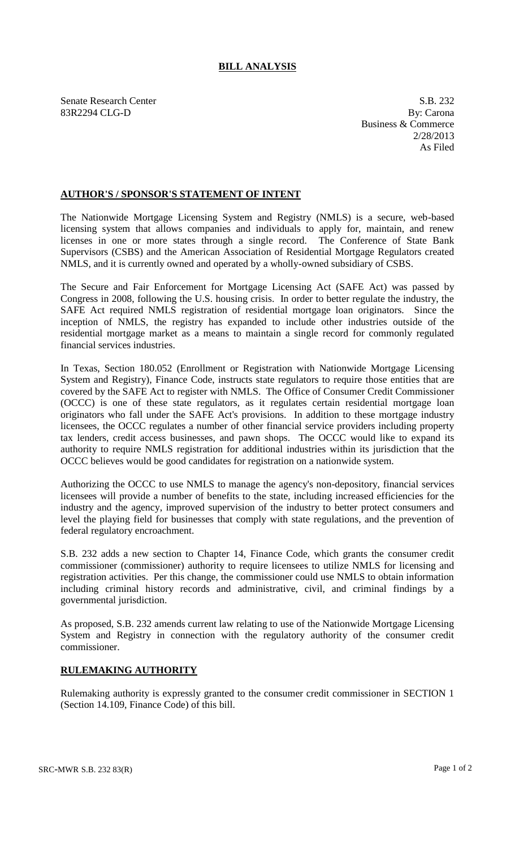## **BILL ANALYSIS**

Senate Research Center S.B. 232 83R2294 CLG-D By: Carona

Business & Commerce 2/28/2013 As Filed

## **AUTHOR'S / SPONSOR'S STATEMENT OF INTENT**

The Nationwide Mortgage Licensing System and Registry (NMLS) is a secure, web-based licensing system that allows companies and individuals to apply for, maintain, and renew licenses in one or more states through a single record. The Conference of State Bank Supervisors (CSBS) and the American Association of Residential Mortgage Regulators created NMLS, and it is currently owned and operated by a wholly-owned subsidiary of CSBS.

The Secure and Fair Enforcement for Mortgage Licensing Act (SAFE Act) was passed by Congress in 2008, following the U.S. housing crisis. In order to better regulate the industry, the SAFE Act required NMLS registration of residential mortgage loan originators. Since the inception of NMLS, the registry has expanded to include other industries outside of the residential mortgage market as a means to maintain a single record for commonly regulated financial services industries.

In Texas, Section 180.052 (Enrollment or Registration with Nationwide Mortgage Licensing System and Registry), Finance Code, instructs state regulators to require those entities that are covered by the SAFE Act to register with NMLS. The Office of Consumer Credit Commissioner (OCCC) is one of these state regulators, as it regulates certain residential mortgage loan originators who fall under the SAFE Act's provisions. In addition to these mortgage industry licensees, the OCCC regulates a number of other financial service providers including property tax lenders, credit access businesses, and pawn shops. The OCCC would like to expand its authority to require NMLS registration for additional industries within its jurisdiction that the OCCC believes would be good candidates for registration on a nationwide system.

Authorizing the OCCC to use NMLS to manage the agency's non-depository, financial services licensees will provide a number of benefits to the state, including increased efficiencies for the industry and the agency, improved supervision of the industry to better protect consumers and level the playing field for businesses that comply with state regulations, and the prevention of federal regulatory encroachment.

S.B. 232 adds a new section to Chapter 14, Finance Code, which grants the consumer credit commissioner (commissioner) authority to require licensees to utilize NMLS for licensing and registration activities. Per this change, the commissioner could use NMLS to obtain information including criminal history records and administrative, civil, and criminal findings by a governmental jurisdiction.

As proposed, S.B. 232 amends current law relating to use of the Nationwide Mortgage Licensing System and Registry in connection with the regulatory authority of the consumer credit commissioner.

## **RULEMAKING AUTHORITY**

Rulemaking authority is expressly granted to the consumer credit commissioner in SECTION 1 (Section 14.109, Finance Code) of this bill.